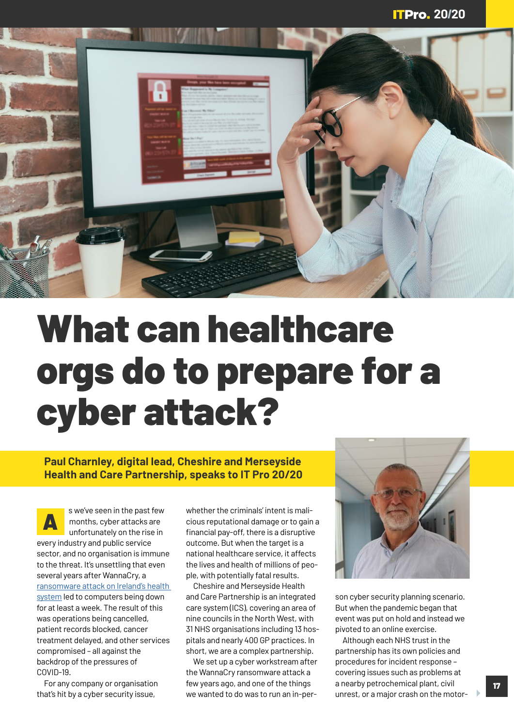

## What can healthcare orgs do to prepare for a cyber attack?

**Paul Charnley, digital lead, Cheshire and Merseyside Health and Care Partnership, speaks to IT Pro 20/20**

s we've seen in the past few<br>months, cyber attacks are<br>unfortunately on the rise in months, cyber attacks are unfortunately on the rise in every industry and public service sector, and no organisation is immune to the threat. It's unsettling that even several years after WannaCry, a ransomware attack on Ireland's health system led to computers being down for at least a week. The result of this was operations being cancelled, patient records blocked, cancer treatment delayed, and other services compromised – all against the backdrop of the pressures of COVID-19.

For any company or organisation that's hit by a cyber security issue,

whether the criminals' intent is malicious reputational damage or to gain a financial pay-off, there is a disruptive outcome. But when the target is a national healthcare service, it affects the lives and health of millions of people, with potentially fatal results.

Cheshire and Merseyside Health and Care Partnership is an integrated care system (ICS), covering an area of nine councils in the North West, with 31 NHS organisations including 13 hospitals and nearly 400 GP practices. In short, we are a complex partnership.

We set up a cyber workstream after the WannaCry ransomware attack a few years ago, and one of the things we wanted to do was to run an in-per-



son cyber security planning scenario. But when the pandemic began that event was put on hold and instead we pivoted to an online exercise.

Although each NHS trust in the partnership has its own policies and procedures for incident response – covering issues such as problems at a nearby petrochemical plant, civil unrest, or a major crash on the motor-